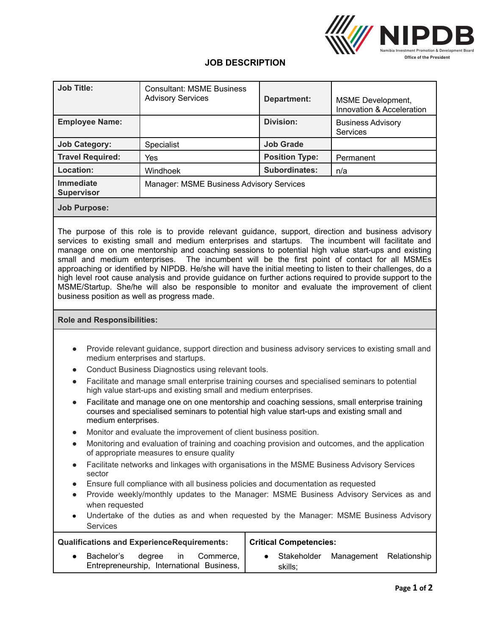

## **JOB DESCRIPTION**

| <b>Job Title:</b>              | <b>Consultant: MSME Business</b><br><b>Advisory Services</b> | Department:           | MSME Development,<br>Innovation & Acceleration |  |  |  |
|--------------------------------|--------------------------------------------------------------|-----------------------|------------------------------------------------|--|--|--|
| <b>Employee Name:</b>          |                                                              | <b>Division:</b>      | <b>Business Advisory</b><br>Services           |  |  |  |
| <b>Job Category:</b>           | <b>Specialist</b>                                            | <b>Job Grade</b>      |                                                |  |  |  |
| <b>Travel Required:</b>        | Yes                                                          | <b>Position Type:</b> | Permanent                                      |  |  |  |
| Location:                      | Windhoek                                                     | <b>Subordinates:</b>  | n/a                                            |  |  |  |
| Immediate<br><b>Supervisor</b> | Manager: MSME Business Advisory Services                     |                       |                                                |  |  |  |
| <b>Job Purpose:</b>            |                                                              |                       |                                                |  |  |  |

The purpose of this role is to provide relevant guidance, support, direction and business advisory services to existing small and medium enterprises and startups. The incumbent will facilitate and manage one on one mentorship and coaching sessions to potential high value start-ups and existing small and medium enterprises. The incumbent will be the first point of contact for all MSMEs approaching or identified by NIPDB. He/she will have the initial meeting to listen to their challenges, do a high level root cause analysis and provide guidance on further actions required to provide support to the MSME/Startup. She/he will also be responsible to monitor and evaluate the improvement of client business position as well as progress made.

## **Role and Responsibilities:**

- Provide relevant guidance, support direction and business advisory services to existing small and medium enterprises and startups.
- Conduct Business Diagnostics using relevant tools.
- Facilitate and manage small enterprise training courses and specialised seminars to potential high value start-ups and existing small and medium enterprises.
- Facilitate and manage one on one mentorship and coaching sessions, small enterprise training courses and specialised seminars to potential high value start-ups and existing small and medium enterprises.
- Monitor and evaluate the improvement of client business position.
- Monitoring and evaluation of training and coaching provision and outcomes, and the application of appropriate measures to ensure quality
- Facilitate networks and linkages with organisations in the MSME Business Advisory Services sector
- Ensure full compliance with all business policies and documentation as requested
- Provide weekly/monthly updates to the Manager: MSME Business Advisory Services as and when requested
- Undertake of the duties as and when requested by the Manager: MSME Business Advisory **Services**

| <b>Qualifications and ExperienceRequirements:</b> |            |           |  | <b>Critical Competencies:</b>                          |  |                          |                         |  |
|---------------------------------------------------|------------|-----------|--|--------------------------------------------------------|--|--------------------------|-------------------------|--|
|                                                   | Bachelor's | dearee in |  | Commerce,<br>Entrepreneurship, International Business, |  | • Stakeholder<br>skills: | Management Relationship |  |